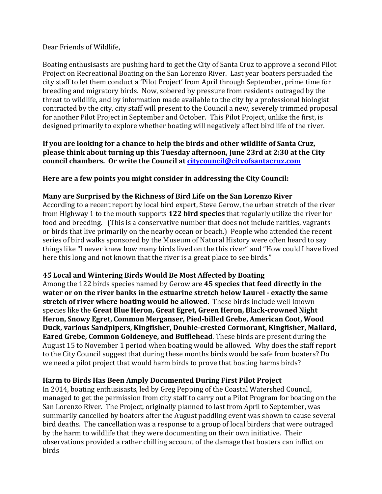#### Dear Friends of Wildlife,

Boating enthusisasts are pushing hard to get the City of Santa Cruz to approve a second Pilot Project on Recreational Boating on the San Lorenzo River. Last year boaters persuaded the city staff to let them conduct a 'Pilot Project' from April through September, prime time for breeding and migratory birds. Now, sobered by pressure from residents outraged by the threat to wildlife, and by information made available to the city by a professional biologist contracted by the city, city staff will present to the Council a new, severely trimmed proposal for another Pilot Project in September and October. This Pilot Project, unlike the first, is designed primarily to explore whether boating will negatively affect bird life of the river.

### If you are looking for a chance to help the birds and other wildlife of Santa Cruz, **please think about turning up this Tuesday afternoon, June 23rd at 2:30 at the City council chambers.** Or write the Council at *citycouncil@cityofsantacruz.com*

### Here are a few points you might consider in addressing the City Council:

#### **Many are Surprised by the Richness of Bird Life on the San Lorenzo River**

According to a recent report by local bird expert, Steve Gerow, the urban stretch of the river from Highway 1 to the mouth supports **122 bird species** that regularly utilize the river for food and breeding. (This is a conservative number that does not include rarities, vagrants or birds that live primarily on the nearby ocean or beach.) People who attended the recent series of bird walks sponsored by the Museum of Natural History were often heard to say things like "I never knew how many birds lived on the this river" and "How could I have lived here this long and not known that the river is a great place to see birds."

#### **45 Local and Wintering Birds Would Be Most Affected by Boating**

Among the 122 birds species named by Gerow are 45 species that feed directly in the **water or on the river banks in the estuarine stretch below Laurel - exactly the same stretch of river where boating would be allowed.** These birds include well-known species like the Great Blue Heron, Great Egret, Green Heron, Black-crowned Night Heron, Snowy Egret, Common Merganser, Pied-billed Grebe, American Coot, Wood Duck, various Sandpipers, Kingfisher, Double-crested Cormorant, Kingfisher, Mallard, **Eared Grebe, Common Goldeneye, and Bufflehead**. These birds are present during the August 15 to November 1 period when boating would be allowed. Why does the staff report to the City Council suggest that during these months birds would be safe from boaters? Do we need a pilot project that would harm birds to prove that boating harms birds?

#### Harm to Birds Has Been Amply Documented During First Pilot Project

In 2014, boating enthusisasts, led by Greg Pepping of the Coastal Watershed Council, managed to get the permission from city staff to carry out a Pilot Program for boating on the San Lorenzo River. The Project, originally planned to last from April to September, was summarily cancelled by boaters after the August paddling event was shown to cause several bird deaths. The cancellation was a response to a group of local birders that were outraged by the harm to wildlife that they were documenting on their own initiative. Their observations provided a rather chilling account of the damage that boaters can inflict on birds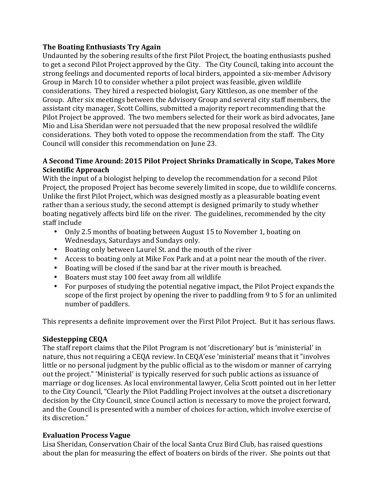### **The Boating Enthusiasts Try Again**

Undaunted by the sobering results of the first Pilot Project, the boating enthusiasts pushed to get a second Pilot Project approved by the City. The City Council, taking into account the strong feelings and documented reports of local birders, appointed a six-member Advisory Group in March 10 to consider whether a pilot project was feasible, given wildlife considerations. They hired a respected biologist, Gary Kittleson, as one member of the Group. After six meetings between the Advisory Group and several city staff members, the assistant city manager, Scott Collins, submitted a majority report recommending that the Pilot Project be approved. The two members selected for their work as bird advocates, Jane Mio and Lisa Sheridan were not persuaded that the new proposal resolved the wildlife considerations. They both voted to oppose the recommendation from the staff. The City Council will consider this recommendation on June 23.

### A Second Time Around: 2015 Pilot Project Shrinks Dramatically in Scope, Takes More **Scientific Approach**

With the input of a biologist helping to develop the recommendation for a second Pilot Project, the proposed Project has become severely limited in scope, due to wildlife concerns. Unlike the first Pilot Project, which was designed mostly as a pleasurable boating event rather than a serious study, the second attempt is designed primarily to study whether boating negatively affects bird life on the river. The guidelines, recommended by the city staff include

- Only 2.5 months of boating between August 15 to November 1, boating on Wednesdays, Saturdays and Sundays only.
- Boating only between Laurel St. and the mouth of the river
- Access to boating only at Mike Fox Park and at a point near the mouth of the river.
- Boating will be closed if the sand bar at the river mouth is breached.
- Boaters must stay 100 feet away from all wildlife
- For purposes of studying the potential negative impact, the Pilot Project expands the scope of the first project by opening the river to paddling from 9 to 5 for an unlimited number of paddlers.

This represents a definite improvement over the First Pilot Project. But it has serious flaws.

# **Sidestepping CEQA**

The staff report claims that the Pilot Program is not 'discretionary' but is 'ministerial' in nature, thus not requiring a CEQA review. In CEQA'ese 'ministerial' means that it "involves little or no personal judgment by the public official as to the wisdom or manner of carrying out the project." 'Ministerial' is typically reserved for such public actions as issuance of marriage or dog licenses. As local environmental lawyer, Celia Scott pointed out in her letter to the City Council, "Clearly the Pilot Paddling Project involves at the outset a discretionary decision by the City Council, since Council action is necessary to move the project forward, and the Council is presented with a number of choices for action, which involve exercise of its discretion."

# **Evaluation Process Vague**

Lisa Sheridan, Conservation Chair of the local Santa Cruz Bird Club, has raised questions about the plan for measuring the effect of boaters on birds of the river. She points out that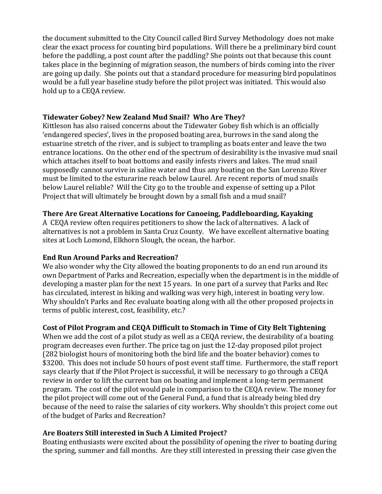the document submitted to the City Council called Bird Survey Methodology does not make clear the exact process for counting bird populations. Will there be a preliminary bird count before the paddling, a post count after the paddling? She points out that because this count takes place in the beginning of migration season, the numbers of birds coming into the river are going up daily. She points out that a standard procedure for measuring bird populatinos would be a full year baseline study before the pilot project was initiated. This would also hold up to a CEQA review.

### Tidewater Gobey? New Zealand Mud Snail? Who Are They?

Kittleson has also raised concerns about the Tidewater Gobey fish which is an officially 'endangered species', lives in the proposed boating area, burrows in the sand along the estuarine stretch of the river, and is subject to trampling as boats enter and leave the two entrance locations. On the other end of the spectrum of desirability is the invasive mud snail which attaches itself to boat bottoms and easily infests rivers and lakes. The mud snail supposedly cannot survive in saline water and thus any boating on the San Lorenzo River must be limited to the esturarine reach below Laurel. Are recent reports of mud snails below Laurel reliable? Will the City go to the trouble and expense of setting up a Pilot Project that will ultimately be brought down by a small fish and a mud snail?

# **There Are Great Alternative Locations for Canoeing, Paddleboarding, Kayaking**

A CEQA review often requires petitioners to show the lack of alternatives. A lack of alternatives is not a problem in Santa Cruz County. We have excellent alternative boating sites at Loch Lomond, Elkhorn Slough, the ocean, the harbor.

# **End Run Around Parks and Recreation?**

We also wonder why the City allowed the boating proponents to do an end run around its own Department of Parks and Recreation, especially when the department is in the middle of developing a master plan for the next 15 years. In one part of a survey that Parks and Rec has circulated, interest in hiking and walking was very high, interest in boating very low. Why shouldn't Parks and Rec evaluate boating along with all the other proposed projects in terms of public interest, cost, feasibility, etc.?

# Cost of Pilot Program and CEQA Difficult to Stomach in Time of City Belt Tightening

When we add the cost of a pilot study as well as a CEQA review, the desirability of a boating program decreases even further. The price tag on just the 12-day proposed pilot project (282 biologist hours of monitoring both the bird life and the boater behavior) comes to \$3200. This does not include 50 hours of post event staff time. Furthermore, the staff report says clearly that if the Pilot Project is successful, it will be necessary to go through a CEQA review in order to lift the current ban on boating and implement a long-term permanent program. The cost of the pilot would pale in comparison to the CEQA review. The money for the pilot project will come out of the General Fund, a fund that is already being bled dry because of the need to raise the salaries of city workers. Why shouldn't this project come out of the budget of Parks and Recreation?

# Are Boaters Still interested in Such A Limited Project?

Boating enthusiasts were excited about the possibility of opening the river to boating during the spring, summer and fall months. Are they still interested in pressing their case given the